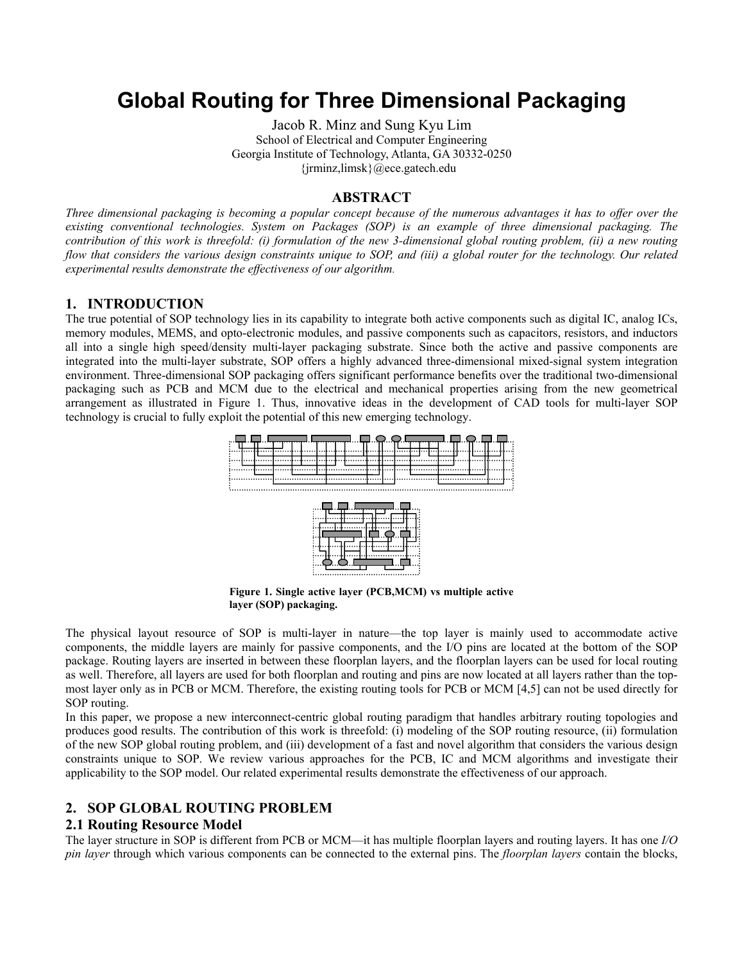# **Global Routing for Three Dimensional Packaging**

Jacob R. Minz and Sung Kyu Lim School of Electrical and Computer Engineering Georgia Institute of Technology, Atlanta, GA 30332-0250 {jrminz,limsk}@ece.gatech.edu

#### **ABSTRACT**

*Three dimensional packaging is becoming a popular concept because of the numerous advantages it has to offer over the existing conventional technologies. System on Packages (SOP) is an example of three dimensional packaging. The contribution of this work is threefold: (i) formulation of the new 3-dimensional global routing problem, (ii) a new routing flow that considers the various design constraints unique to SOP, and (iii) a global router for the technology. Our related experimental results demonstrate the effectiveness of our algorithm.* 

## **1. INTRODUCTION**

The true potential of SOP technology lies in its capability to integrate both active components such as digital IC, analog ICs, memory modules, MEMS, and opto-electronic modules, and passive components such as capacitors, resistors, and inductors all into a single high speed/density multi-layer packaging substrate. Since both the active and passive components are integrated into the multi-layer substrate, SOP offers a highly advanced three-dimensional mixed-signal system integration environment. Three-dimensional SOP packaging offers significant performance benefits over the traditional two-dimensional packaging such as PCB and MCM due to the electrical and mechanical properties arising from the new geometrical arrangement as illustrated in Figure 1. Thus, innovative ideas in the development of CAD tools for multi-layer SOP technology is crucial to fully exploit the potential of this new emerging technology.



**Figure 1. Single active layer (PCB,MCM) vs multiple active layer (SOP) packaging.** 

The physical layout resource of SOP is multi-layer in nature—the top layer is mainly used to accommodate active components, the middle layers are mainly for passive components, and the I/O pins are located at the bottom of the SOP package. Routing layers are inserted in between these floorplan layers, and the floorplan layers can be used for local routing as well. Therefore, all layers are used for both floorplan and routing and pins are now located at all layers rather than the topmost layer only as in PCB or MCM. Therefore, the existing routing tools for PCB or MCM [4,5] can not be used directly for SOP routing.

In this paper, we propose a new interconnect-centric global routing paradigm that handles arbitrary routing topologies and produces good results. The contribution of this work is threefold: (i) modeling of the SOP routing resource, (ii) formulation of the new SOP global routing problem, and (iii) development of a fast and novel algorithm that considers the various design constraints unique to SOP. We review various approaches for the PCB, IC and MCM algorithms and investigate their applicability to the SOP model. Our related experimental results demonstrate the effectiveness of our approach.

# **2. SOP GLOBAL ROUTING PROBLEM**

#### **2.1 Routing Resource Model**

The layer structure in SOP is different from PCB or MCM—it has multiple floorplan layers and routing layers. It has one *I/O pin layer* through which various components can be connected to the external pins. The *floorplan layers* contain the blocks,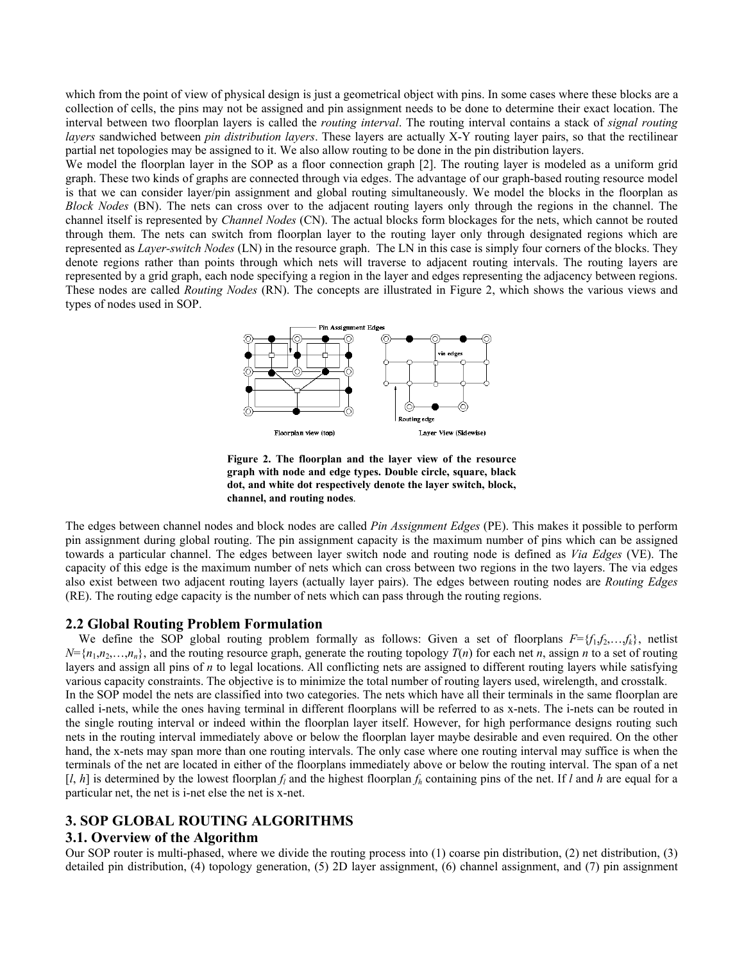which from the point of view of physical design is just a geometrical object with pins. In some cases where these blocks are a collection of cells, the pins may not be assigned and pin assignment needs to be done to determine their exact location. The interval between two floorplan layers is called the *routing interval*. The routing interval contains a stack of *signal routing layers* sandwiched between *pin distribution layers*. These layers are actually X-Y routing layer pairs, so that the rectilinear partial net topologies may be assigned to it. We also allow routing to be done in the pin distribution layers.

We model the floorplan layer in the SOP as a floor connection graph [2]. The routing layer is modeled as a uniform grid graph. These two kinds of graphs are connected through via edges. The advantage of our graph-based routing resource model is that we can consider layer/pin assignment and global routing simultaneously. We model the blocks in the floorplan as *Block Nodes* (BN). The nets can cross over to the adjacent routing layers only through the regions in the channel. The channel itself is represented by *Channel Nodes* (CN). The actual blocks form blockages for the nets, which cannot be routed through them. The nets can switch from floorplan layer to the routing layer only through designated regions which are represented as *Layer-switch Nodes* (LN) in the resource graph. The LN in this case is simply four corners of the blocks. They denote regions rather than points through which nets will traverse to adjacent routing intervals. The routing layers are represented by a grid graph, each node specifying a region in the layer and edges representing the adjacency between regions. These nodes are called *Routing Nodes* (RN). The concepts are illustrated in Figure 2, which shows the various views and types of nodes used in SOP.



**Figure 2. The floorplan and the layer view of the resource graph with node and edge types. Double circle, square, black dot, and white dot respectively denote the layer switch, block, channel, and routing nodes***.* 

The edges between channel nodes and block nodes are called *Pin Assignment Edges* (PE). This makes it possible to perform pin assignment during global routing. The pin assignment capacity is the maximum number of pins which can be assigned towards a particular channel. The edges between layer switch node and routing node is defined as *Via Edges* (VE). The capacity of this edge is the maximum number of nets which can cross between two regions in the two layers. The via edges also exist between two adjacent routing layers (actually layer pairs). The edges between routing nodes are *Routing Edges* (RE). The routing edge capacity is the number of nets which can pass through the routing regions.

## **2.2 Global Routing Problem Formulation**

We define the SOP global routing problem formally as follows: Given a set of floorplans  $F = \{f_1, f_2, \ldots, f_k\}$ , netlist  $N = \{n_1, n_2, \ldots, n_n\}$ , and the routing resource graph, generate the routing topology  $T(n)$  for each net *n*, assign *n* to a set of routing layers and assign all pins of *n* to legal locations. All conflicting nets are assigned to different routing layers while satisfying various capacity constraints. The objective is to minimize the total number of routing layers used, wirelength, and crosstalk. In the SOP model the nets are classified into two categories. The nets which have all their terminals in the same floorplan are called i-nets, while the ones having terminal in different floorplans will be referred to as x-nets. The i-nets can be routed in the single routing interval or indeed within the floorplan layer itself. However, for high performance designs routing such nets in the routing interval immediately above or below the floorplan layer maybe desirable and even required. On the other hand, the x-nets may span more than one routing intervals. The only case where one routing interval may suffice is when the terminals of the net are located in either of the floorplans immediately above or below the routing interval. The span of a net  $\lceil l, h \rceil$  is determined by the lowest floorplan  $f_l$  and the highest floorplan  $f_h$  containing pins of the net. If *l* and *h* are equal for a particular net, the net is i-net else the net is x-net.

# **3. SOP GLOBAL ROUTING ALGORITHMS**

# **3.1. Overview of the Algorithm**

Our SOP router is multi-phased, where we divide the routing process into (1) coarse pin distribution, (2) net distribution, (3) detailed pin distribution, (4) topology generation, (5) 2D layer assignment, (6) channel assignment, and (7) pin assignment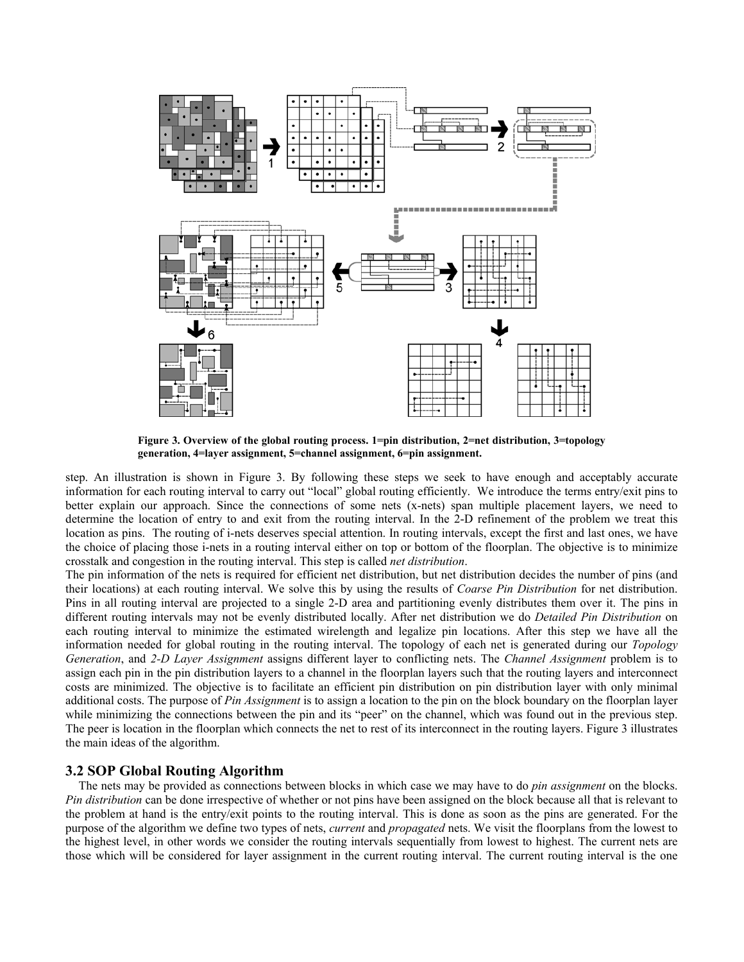

**Figure 3. Overview of the global routing process. 1=pin distribution, 2=net distribution, 3=topology generation, 4=layer assignment, 5=channel assignment, 6=pin assignment.** 

step. An illustration is shown in Figure 3. By following these steps we seek to have enough and acceptably accurate information for each routing interval to carry out "local" global routing efficiently. We introduce the terms entry/exit pins to better explain our approach. Since the connections of some nets (x-nets) span multiple placement layers, we need to determine the location of entry to and exit from the routing interval. In the 2-D refinement of the problem we treat this location as pins. The routing of i-nets deserves special attention. In routing intervals, except the first and last ones, we have the choice of placing those i-nets in a routing interval either on top or bottom of the floorplan. The objective is to minimize crosstalk and congestion in the routing interval. This step is called *net distribution*.

The pin information of the nets is required for efficient net distribution, but net distribution decides the number of pins (and their locations) at each routing interval. We solve this by using the results of *Coarse Pin Distribution* for net distribution. Pins in all routing interval are projected to a single 2-D area and partitioning evenly distributes them over it. The pins in different routing intervals may not be evenly distributed locally. After net distribution we do *Detailed Pin Distribution* on each routing interval to minimize the estimated wirelength and legalize pin locations. After this step we have all the information needed for global routing in the routing interval. The topology of each net is generated during our *Topology Generation*, and *2-D Layer Assignment* assigns different layer to conflicting nets. The *Channel Assignment* problem is to assign each pin in the pin distribution layers to a channel in the floorplan layers such that the routing layers and interconnect costs are minimized. The objective is to facilitate an efficient pin distribution on pin distribution layer with only minimal additional costs. The purpose of *Pin Assignment* is to assign a location to the pin on the block boundary on the floorplan layer while minimizing the connections between the pin and its "peer" on the channel, which was found out in the previous step. The peer is location in the floorplan which connects the net to rest of its interconnect in the routing layers. Figure 3 illustrates the main ideas of the algorithm.

## **3.2 SOP Global Routing Algorithm**

The nets may be provided as connections between blocks in which case we may have to do *pin assignment* on the blocks. *Pin distribution* can be done irrespective of whether or not pins have been assigned on the block because all that is relevant to the problem at hand is the entry/exit points to the routing interval. This is done as soon as the pins are generated. For the purpose of the algorithm we define two types of nets, *current* and *propagated* nets. We visit the floorplans from the lowest to the highest level, in other words we consider the routing intervals sequentially from lowest to highest. The current nets are those which will be considered for layer assignment in the current routing interval. The current routing interval is the one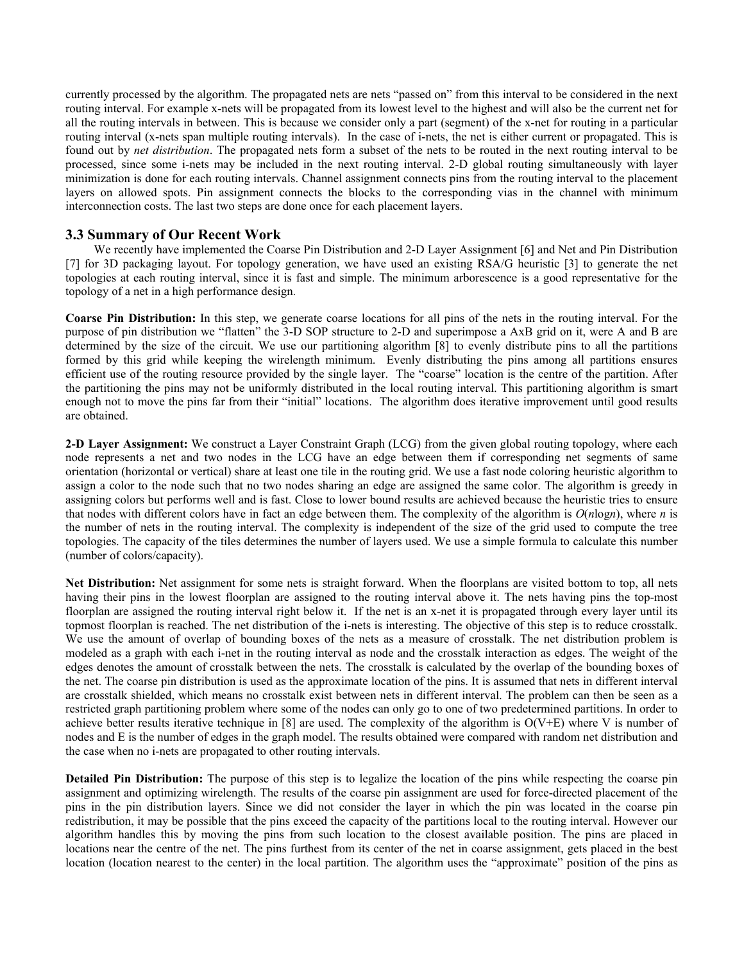currently processed by the algorithm. The propagated nets are nets "passed on" from this interval to be considered in the next routing interval. For example x-nets will be propagated from its lowest level to the highest and will also be the current net for all the routing intervals in between. This is because we consider only a part (segment) of the x-net for routing in a particular routing interval (x-nets span multiple routing intervals). In the case of i-nets, the net is either current or propagated. This is found out by *net distribution*. The propagated nets form a subset of the nets to be routed in the next routing interval to be processed, since some i-nets may be included in the next routing interval. 2-D global routing simultaneously with layer minimization is done for each routing intervals. Channel assignment connects pins from the routing interval to the placement layers on allowed spots. Pin assignment connects the blocks to the corresponding vias in the channel with minimum interconnection costs. The last two steps are done once for each placement layers.

# **3.3 Summary of Our Recent Work**

 We recently have implemented the Coarse Pin Distribution and 2-D Layer Assignment [6] and Net and Pin Distribution [7] for 3D packaging layout. For topology generation, we have used an existing RSA/G heuristic [3] to generate the net topologies at each routing interval, since it is fast and simple. The minimum arborescence is a good representative for the topology of a net in a high performance design.

**Coarse Pin Distribution:** In this step, we generate coarse locations for all pins of the nets in the routing interval. For the purpose of pin distribution we "flatten" the 3-D SOP structure to 2-D and superimpose a AxB grid on it, were A and B are determined by the size of the circuit. We use our partitioning algorithm [8] to evenly distribute pins to all the partitions formed by this grid while keeping the wirelength minimum. Evenly distributing the pins among all partitions ensures efficient use of the routing resource provided by the single layer. The "coarse" location is the centre of the partition. After the partitioning the pins may not be uniformly distributed in the local routing interval. This partitioning algorithm is smart enough not to move the pins far from their "initial" locations. The algorithm does iterative improvement until good results are obtained.

**2-D Layer Assignment:** We construct a Layer Constraint Graph (LCG) from the given global routing topology, where each node represents a net and two nodes in the LCG have an edge between them if corresponding net segments of same orientation (horizontal or vertical) share at least one tile in the routing grid. We use a fast node coloring heuristic algorithm to assign a color to the node such that no two nodes sharing an edge are assigned the same color. The algorithm is greedy in assigning colors but performs well and is fast. Close to lower bound results are achieved because the heuristic tries to ensure that nodes with different colors have in fact an edge between them. The complexity of the algorithm is  $O(n \log n)$ , where *n* is the number of nets in the routing interval. The complexity is independent of the size of the grid used to compute the tree topologies. The capacity of the tiles determines the number of layers used. We use a simple formula to calculate this number (number of colors/capacity).

**Net Distribution:** Net assignment for some nets is straight forward. When the floorplans are visited bottom to top, all nets having their pins in the lowest floorplan are assigned to the routing interval above it. The nets having pins the top-most floorplan are assigned the routing interval right below it. If the net is an x-net it is propagated through every layer until its topmost floorplan is reached. The net distribution of the i-nets is interesting. The objective of this step is to reduce crosstalk. We use the amount of overlap of bounding boxes of the nets as a measure of crosstalk. The net distribution problem is modeled as a graph with each i-net in the routing interval as node and the crosstalk interaction as edges. The weight of the edges denotes the amount of crosstalk between the nets. The crosstalk is calculated by the overlap of the bounding boxes of the net. The coarse pin distribution is used as the approximate location of the pins. It is assumed that nets in different interval are crosstalk shielded, which means no crosstalk exist between nets in different interval. The problem can then be seen as a restricted graph partitioning problem where some of the nodes can only go to one of two predetermined partitions. In order to achieve better results iterative technique in [8] are used. The complexity of the algorithm is O(V+E) where V is number of nodes and E is the number of edges in the graph model. The results obtained were compared with random net distribution and the case when no i-nets are propagated to other routing intervals.

**Detailed Pin Distribution:** The purpose of this step is to legalize the location of the pins while respecting the coarse pin assignment and optimizing wirelength. The results of the coarse pin assignment are used for force-directed placement of the pins in the pin distribution layers. Since we did not consider the layer in which the pin was located in the coarse pin redistribution, it may be possible that the pins exceed the capacity of the partitions local to the routing interval. However our algorithm handles this by moving the pins from such location to the closest available position. The pins are placed in locations near the centre of the net. The pins furthest from its center of the net in coarse assignment, gets placed in the best location (location nearest to the center) in the local partition. The algorithm uses the "approximate" position of the pins as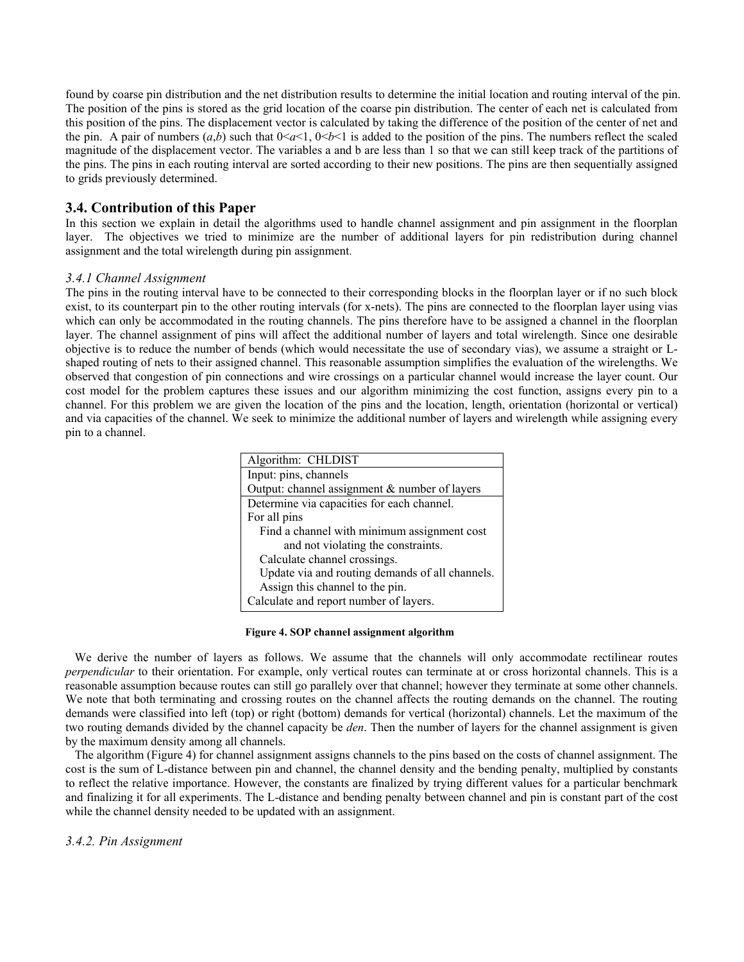found by coarse pin distribution and the net distribution results to determine the initial location and routing interval of the pin. The position of the pins is stored as the grid location of the coarse pin distribution. The center of each net is calculated from this position of the pins. The displacement vector is calculated by taking the difference of the position of the center of net and the pin. A pair of numbers  $(a,b)$  such that  $0 < a < 1$ ,  $0 < b < 1$  is added to the position of the pins. The numbers reflect the scaled magnitude of the displacement vector. The variables a and b are less than 1 so that we can still keep track of the partitions of the pins. The pins in each routing interval are sorted according to their new positions. The pins are then sequentially assigned to grids previously determined.

# **3.4. Contribution of this Paper**

In this section we explain in detail the algorithms used to handle channel assignment and pin assignment in the floorplan layer. The objectives we tried to minimize are the number of additional layers for pin redistribution during channel assignment and the total wirelength during pin assignment.

# *3.4.1 Channel Assignment*

The pins in the routing interval have to be connected to their corresponding blocks in the floorplan layer or if no such block exist, to its counterpart pin to the other routing intervals (for x-nets). The pins are connected to the floorplan layer using vias which can only be accommodated in the routing channels. The pins therefore have to be assigned a channel in the floorplan layer. The channel assignment of pins will affect the additional number of layers and total wirelength. Since one desirable objective is to reduce the number of bends (which would necessitate the use of secondary vias), we assume a straight or Lshaped routing of nets to their assigned channel. This reasonable assumption simplifies the evaluation of the wirelengths. We observed that congestion of pin connections and wire crossings on a particular channel would increase the layer count. Our cost model for the problem captures these issues and our algorithm minimizing the cost function, assigns every pin to a channel. For this problem we are given the location of the pins and the location, length, orientation (horizontal or vertical) and via capacities of the channel. We seek to minimize the additional number of layers and wirelength while assigning every pin to a channel.

| Algorithm: CHLDIST                              |
|-------------------------------------------------|
| Input: pins, channels                           |
| Output: channel assignment $&$ number of layers |
| Determine via capacities for each channel.      |
| For all pins                                    |
| Find a channel with minimum assignment cost     |
| and not violating the constraints.              |
| Calculate channel crossings.                    |
| Update via and routing demands of all channels. |
| Assign this channel to the pin.                 |
| Calculate and report number of layers.          |

#### **Figure 4. SOP channel assignment algorithm**

We derive the number of layers as follows. We assume that the channels will only accommodate rectilinear routes *perpendicular* to their orientation. For example, only vertical routes can terminate at or cross horizontal channels. This is a reasonable assumption because routes can still go parallely over that channel; however they terminate at some other channels. We note that both terminating and crossing routes on the channel affects the routing demands on the channel. The routing demands were classified into left (top) or right (bottom) demands for vertical (horizontal) channels. Let the maximum of the two routing demands divided by the channel capacity be *den*. Then the number of layers for the channel assignment is given by the maximum density among all channels.

 The algorithm (Figure 4) for channel assignment assigns channels to the pins based on the costs of channel assignment. The cost is the sum of L-distance between pin and channel, the channel density and the bending penalty, multiplied by constants to reflect the relative importance. However, the constants are finalized by trying different values for a particular benchmark and finalizing it for all experiments. The L-distance and bending penalty between channel and pin is constant part of the cost while the channel density needed to be updated with an assignment.

## *3.4.2. Pin Assignment*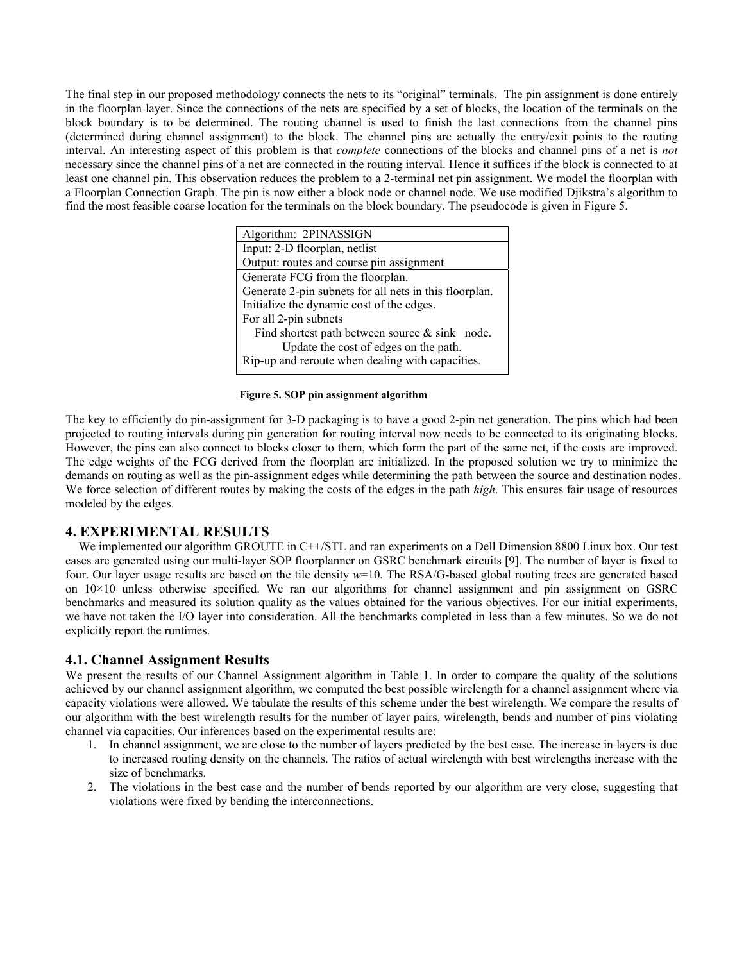The final step in our proposed methodology connects the nets to its "original" terminals. The pin assignment is done entirely in the floorplan layer. Since the connections of the nets are specified by a set of blocks, the location of the terminals on the block boundary is to be determined. The routing channel is used to finish the last connections from the channel pins (determined during channel assignment) to the block. The channel pins are actually the entry/exit points to the routing interval. An interesting aspect of this problem is that *complete* connections of the blocks and channel pins of a net is *not* necessary since the channel pins of a net are connected in the routing interval. Hence it suffices if the block is connected to at least one channel pin. This observation reduces the problem to a 2-terminal net pin assignment. We model the floorplan with a Floorplan Connection Graph. The pin is now either a block node or channel node. We use modified Djikstra's algorithm to find the most feasible coarse location for the terminals on the block boundary. The pseudocode is given in Figure 5.

**Figure 5. SOP pin assignment algorithm** 

The key to efficiently do pin-assignment for 3-D packaging is to have a good 2-pin net generation. The pins which had been projected to routing intervals during pin generation for routing interval now needs to be connected to its originating blocks. However, the pins can also connect to blocks closer to them, which form the part of the same net, if the costs are improved. The edge weights of the FCG derived from the floorplan are initialized. In the proposed solution we try to minimize the demands on routing as well as the pin-assignment edges while determining the path between the source and destination nodes. We force selection of different routes by making the costs of the edges in the path *high*. This ensures fair usage of resources modeled by the edges.

# **4. EXPERIMENTAL RESULTS**

We implemented our algorithm GROUTE in C++/STL and ran experiments on a Dell Dimension 8800 Linux box. Our test cases are generated using our multi-layer SOP floorplanner on GSRC benchmark circuits [9]. The number of layer is fixed to four. Our layer usage results are based on the tile density *w*=10. The RSA/G-based global routing trees are generated based on  $10\times10$  unless otherwise specified. We ran our algorithms for channel assignment and pin assignment on GSRC benchmarks and measured its solution quality as the values obtained for the various objectives. For our initial experiments, we have not taken the I/O layer into consideration. All the benchmarks completed in less than a few minutes. So we do not explicitly report the runtimes.

## **4.1. Channel Assignment Results**

We present the results of our Channel Assignment algorithm in Table 1. In order to compare the quality of the solutions achieved by our channel assignment algorithm, we computed the best possible wirelength for a channel assignment where via capacity violations were allowed. We tabulate the results of this scheme under the best wirelength. We compare the results of our algorithm with the best wirelength results for the number of layer pairs, wirelength, bends and number of pins violating channel via capacities. Our inferences based on the experimental results are:

- 1. In channel assignment, we are close to the number of layers predicted by the best case. The increase in layers is due to increased routing density on the channels. The ratios of actual wirelength with best wirelengths increase with the size of benchmarks.
- 2. The violations in the best case and the number of bends reported by our algorithm are very close, suggesting that violations were fixed by bending the interconnections.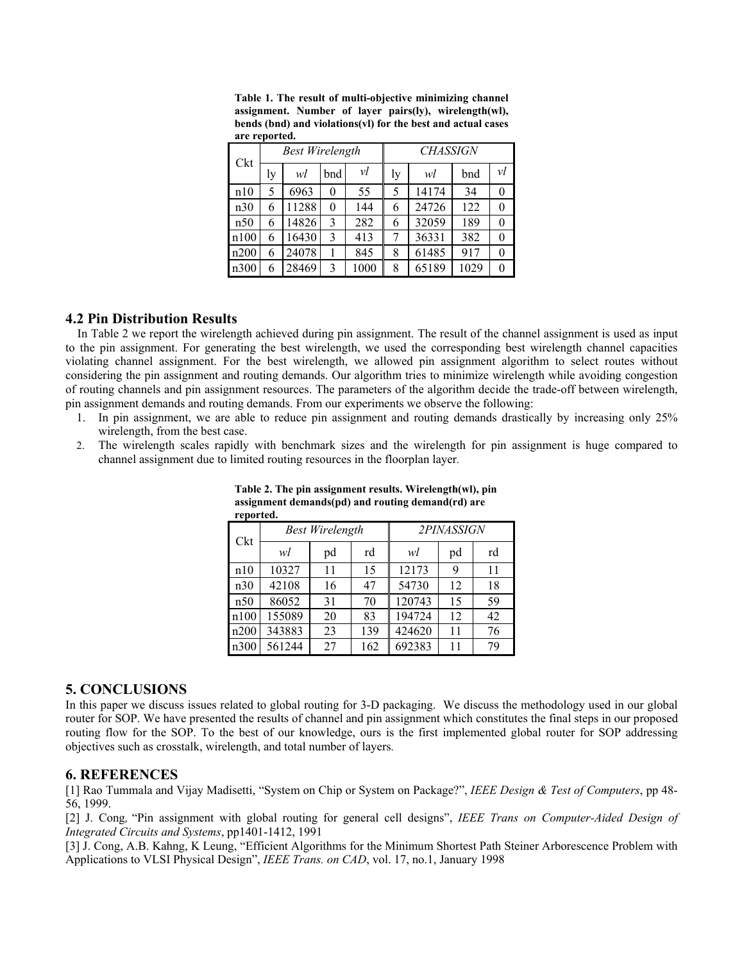| Ckt  | <b>Best Wirelength</b> |       |          |      | <b>CHASSIGN</b> |       |      |                |
|------|------------------------|-------|----------|------|-----------------|-------|------|----------------|
|      | ly                     | wl    | bnd      | νl   | ly              | wl    | bnd  | νl             |
| n10  | 5                      | 6963  | 0        | 55   | 5               | 14174 | 34   | $\overline{0}$ |
| n30  | 6                      | 11288 | $\theta$ | 144  | 6               | 24726 | 122  | $\theta$       |
| n50  | 6                      | 14826 | 3        | 282  | 6               | 32059 | 189  | $\theta$       |
| n100 | 6                      | 16430 | 3        | 413  | 7               | 36331 | 382  | $\overline{0}$ |
| n200 | 6                      | 24078 | 1        | 845  | 8               | 61485 | 917  | 0              |
| n300 | 6                      | 28469 | 3        | 1000 | 8               | 65189 | 1029 | $\theta$       |

**Table 1. The result of multi-objective minimizing channel assignment. Number of layer pairs(ly), wirelength(wl), bends (bnd) and violations(vl) for the best and actual cases are reported.** 

# **4.2 Pin Distribution Results**

In Table 2 we report the wirelength achieved during pin assignment. The result of the channel assignment is used as input to the pin assignment. For generating the best wirelength, we used the corresponding best wirelength channel capacities violating channel assignment. For the best wirelength, we allowed pin assignment algorithm to select routes without considering the pin assignment and routing demands. Our algorithm tries to minimize wirelength while avoiding congestion of routing channels and pin assignment resources. The parameters of the algorithm decide the trade-off between wirelength, pin assignment demands and routing demands. From our experiments we observe the following:

- 1. In pin assignment, we are able to reduce pin assignment and routing demands drastically by increasing only 25% wirelength, from the best case.
- 2. The wirelength scales rapidly with benchmark sizes and the wirelength for pin assignment is huge compared to channel assignment due to limited routing resources in the floorplan layer.

| reporteu. |        |                        |     |            |    |    |  |  |  |  |  |
|-----------|--------|------------------------|-----|------------|----|----|--|--|--|--|--|
| Ckt       |        | <b>Best Wirelength</b> |     | 2PINASSIGN |    |    |  |  |  |  |  |
|           | wl     | pd                     | rd  | wl         | pd | rd |  |  |  |  |  |
| n10       | 10327  | 11                     | 15  | 12173      | 9  | 11 |  |  |  |  |  |
| n30       | 42108  | 16                     | 47  | 54730      | 12 | 18 |  |  |  |  |  |
| n50       | 86052  | 31                     | 70  | 120743     | 15 | 59 |  |  |  |  |  |
| n100      | 155089 | 20                     | 83  | 194724     | 12 | 42 |  |  |  |  |  |
| n200      | 343883 | 23                     | 139 | 424620     | 11 | 76 |  |  |  |  |  |
| n300      | 561244 | 27                     | 162 | 692383     | 11 | 79 |  |  |  |  |  |

**Table 2. The pin assignment results. Wirelength(wl), pin assignment demands(pd) and routing demand(rd) are reported.** 

# **5. CONCLUSIONS**

In this paper we discuss issues related to global routing for 3-D packaging. We discuss the methodology used in our global router for SOP. We have presented the results of channel and pin assignment which constitutes the final steps in our proposed routing flow for the SOP. To the best of our knowledge, ours is the first implemented global router for SOP addressing objectives such as crosstalk, wirelength, and total number of layers.

## **6. REFERENCES**

[1] Rao Tummala and Vijay Madisetti, "System on Chip or System on Package?", *IEEE Design & Test of Computers*, pp 48- 56, 1999.

[2] J. Cong*,* "Pin assignment with global routing for general cell designs", *IEEE Trans on Computer-Aided Design of Integrated Circuits and Systems*, pp1401-1412, 1991

[3] J. Cong, A.B. Kahng, K Leung, "Efficient Algorithms for the Minimum Shortest Path Steiner Arborescence Problem with Applications to VLSI Physical Design", *IEEE Trans. on CAD*, vol. 17, no.1, January 1998